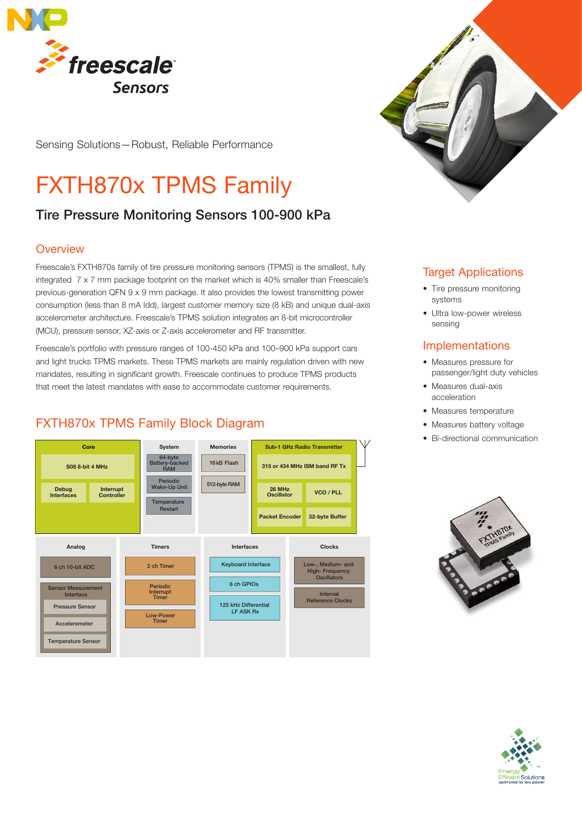

Sensing Solutions—Robust, Reliable Performance

# FXTH870x TPMS Family

# Tire Pressure Monitoring Sensors 100-900 kPa

## **Overview**

Freescale's FXTH870s family of tire pressure monitoring sensors (TPMS) is the smallest, fully integrated 7 x 7 mm package footprint on the market which is 40% smaller than Freescale's previous-generation QFN 9 x 9 mm package. It also provides the lowest transmitting power consumption (less than 8 mA Idd), largest customer memory size (8 kB) and unique dual-axis accelerometer architecture. Freescale's TPMS solution integrates an 8-bit microcontroller (MCU), pressure sensor, XZ-axis or Z-axis accelerometer and RF transmitter.

Freescale's portfolio with pressure ranges of 100-450 kPa and 100–900 kPa support cars and light trucks TPMS markets. These TPMS markets are mainly regulation driven with new mandates, resulting in significant growth. Freescale continues to produce TPMS products that meet the latest mandates with ease to accommodate customer requirements.

# FXTH870x TPMS Family Block Diagram





## Target Applications

- Tire pressure monitoring systems
- Ultra low-power wireless sensing

## **Implementations**

- Measures pressure for passenger/light duty vehicles
- Measures dual-axis acceleration
- Measures temperature
- Measures battery voltage
- Bi-directional communication